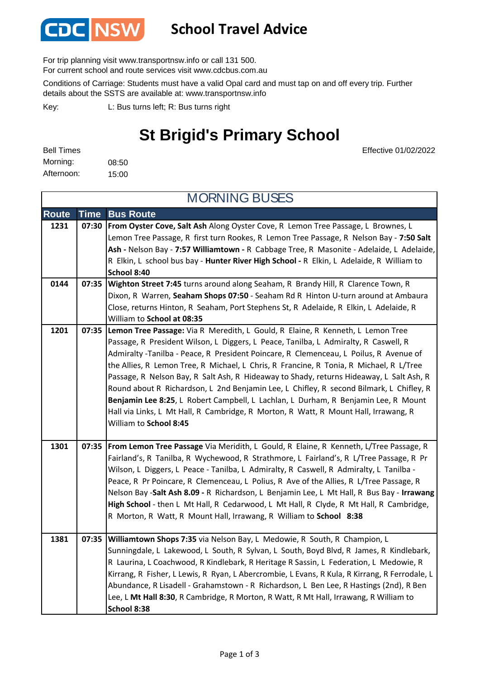

### **School Travel Advice**

For trip planning visit www.transportnsw.info or call 131 500.

For current school and route services visit www.cdcbus.com.au

Conditions of Carriage: Students must have a valid Opal card and must tap on and off every trip. Further details about the SSTS are available at: www.transportnsw.info

L: Bus turns left; R: Bus turns right Key:

## **St Brigid's Primary School**

Effective 01/02/2022

08:50 15:00 Afternoon: Bell Times Morning:

**Route Time Bus Route 1231 07:30 From Oyster Cove, Salt Ash** Along Oyster Cove, R Lemon Tree Passage, L Brownes, L Lemon Tree Passage, R first turn Rookes, R Lemon Tree Passage, R Nelson Bay - **7:50 Salt Ash -** Nelson Bay - **7:57 Williamtown -** R Cabbage Tree, R Masonite - Adelaide, L Adelaide, R Elkin, L school bus bay - **Hunter River High School -** R Elkin, L Adelaide, R William to **School 8:40 0144 07:35 Wighton Street 7:45** turns around along Seaham, R Brandy Hill, R Clarence Town, R Dixon, R Warren, **Seaham Shops 07:50** - Seaham Rd R Hinton U-turn around at Ambaura Close, returns Hinton, R Seaham, Port Stephens St, R Adelaide, R Elkin, L Adelaide, R William to **School at 08:35 1201 07:35 Lemon Tree Passage:** Via R Meredith, L Gould, R Elaine, R Kenneth, L Lemon Tree Passage, R President Wilson, L Diggers, L Peace, Tanilba, L Admiralty, R Caswell, R Admiralty -Tanilba - Peace, R President Poincare, R Clemenceau, L Poilus, R Avenue of the Allies, R Lemon Tree, R Michael, L Chris, R Francine, R Tonia, R Michael, R L/Tree Passage, R Nelson Bay, R Salt Ash, R Hideaway to Shady, returns Hideaway, L Salt Ash, R Round about R Richardson, L 2nd Benjamin Lee, L Chifley, R second Bilmark, L Chifley, R **Benjamin Lee 8:25**, L Robert Campbell, L Lachlan, L Durham, R Benjamin Lee, R Mount Hall via Links, L Mt Hall, R Cambridge, R Morton, R Watt, R Mount Hall, Irrawang, R William to **School 8:45 1301 07:35 From Lemon Tree Passage** Via Meridith, L Gould, R Elaine, R Kenneth, L/Tree Passage, R Fairland's, R Tanilba, R Wychewood, R Strathmore, L Fairland's, R L/Tree Passage, R Pr MORNING BUSES

#### Wilson, L Diggers, L Peace - Tanilba, L Admiralty, R Caswell, R Admiralty, L Tanilba -Peace, R Pr Poincare, R Clemenceau, L Polius, R Ave of the Allies, R L/Tree Passage, R Nelson Bay -**Salt Ash 8.09 -** R Richardson, L Benjamin Lee, L Mt Hall, R Bus Bay - **Irrawang High School** - then L Mt Hall, R Cedarwood, L Mt Hall, R Clyde, R Mt Hall, R Cambridge, R Morton, R Watt, R Mount Hall, Irrawang, R William to **School 8:38 1381 07:35 Williamtown Shops 7:35** via Nelson Bay, L Medowie, R South, R Champion, L Sunningdale, L Lakewood, L South, R Sylvan, L South, Boyd Blvd, R James, R Kindlebark, R Laurina, L Coachwood, R Kindlebark, R Heritage R Sassin, L Federation, L Medowie, R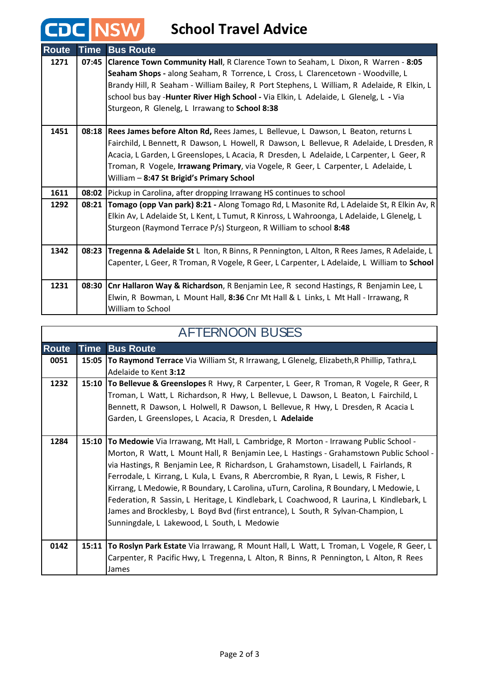# **CDC** NSW School Travel Advice

| <b>Route</b> | <b>Time</b> | <b>Bus Route</b>                                                                                 |
|--------------|-------------|--------------------------------------------------------------------------------------------------|
| 1271         |             | 07:45 Clarence Town Community Hall, R Clarence Town to Seaham, L Dixon, R Warren - 8:05          |
|              |             | Seaham Shops - along Seaham, R Torrence, L Cross, L Clarencetown - Woodville, L                  |
|              |             | Brandy Hill, R Seaham - William Bailey, R Port Stephens, L William, R Adelaide, R Elkin, L       |
|              |             | school bus bay -Hunter River High School - Via Elkin, L Adelaide, L Glenelg, L - Via             |
|              |             | Sturgeon, R Glenelg, L Irrawang to School 8:38                                                   |
| 1451         |             | 08:18 Rees James before Alton Rd, Rees James, L Bellevue, L Dawson, L Beaton, returns L          |
|              |             | Fairchild, L Bennett, R Dawson, L Howell, R Dawson, L Bellevue, R Adelaide, L Dresden, R         |
|              |             | Acacia, L Garden, L Greenslopes, L Acacia, R Dresden, L Adelaide, L Carpenter, L Geer, R         |
|              |             | Troman, R Vogele, Irrawang Primary, via Vogele, R Geer, L Carpenter, L Adelaide, L               |
|              |             | William - 8:47 St Brigid's Primary School                                                        |
| 1611         |             | 08:02 Pickup in Carolina, after dropping Irrawang HS continues to school                         |
| 1292         | 08:21       | Tomago (opp Van park) 8:21 - Along Tomago Rd, L Masonite Rd, L Adelaide St, R Elkin Av, R        |
|              |             | Elkin Av, L Adelaide St, L Kent, L Tumut, R Kinross, L Wahroonga, L Adelaide, L Glenelg, L       |
|              |             | Sturgeon (Raymond Terrace P/s) Sturgeon, R William to school 8:48                                |
| 1342         |             | 08:23 Tregenna & Adelaide St L Iton, R Binns, R Pennington, L Alton, R Rees James, R Adelaide, L |
|              |             | Capenter, L Geer, R Troman, R Vogele, R Geer, L Carpenter, L Adelaide, L William to School       |
|              |             |                                                                                                  |
| 1231         |             | 08:30 Cnr Hallaron Way & Richardson, R Benjamin Lee, R second Hastings, R Benjamin Lee, L        |
|              |             | Elwin, R Bowman, L Mount Hall, 8:36 Cnr Mt Hall & L Links, L Mt Hall - Irrawang, R               |
|              |             | William to School                                                                                |

| <b>AFTERNOON BUSES</b> |             |                                                                                                 |  |  |
|------------------------|-------------|-------------------------------------------------------------------------------------------------|--|--|
| <b>Route</b>           | <b>Time</b> | <b>Bus Route</b>                                                                                |  |  |
| 0051                   |             | 15:05 To Raymond Terrace Via William St, R Irrawang, L Glenelg, Elizabeth, R Phillip, Tathra, L |  |  |
|                        |             | Adelaide to Kent 3:12                                                                           |  |  |
| 1232                   |             | 15:10   To Bellevue & Greenslopes R Hwy, R Carpenter, L Geer, R Troman, R Vogele, R Geer, R     |  |  |
|                        |             | Troman, L Watt, L Richardson, R Hwy, L Bellevue, L Dawson, L Beaton, L Fairchild, L             |  |  |
|                        |             | Bennett, R Dawson, L Holwell, R Dawson, L Bellevue, R Hwy, L Dresden, R Acacia L                |  |  |
|                        |             | Garden, L Greenslopes, L Acacia, R Dresden, L Adelaide                                          |  |  |
|                        |             |                                                                                                 |  |  |
| 1284                   |             | 15:10 To Medowie Via Irrawang, Mt Hall, L Cambridge, R Morton - Irrawang Public School -        |  |  |
|                        |             | Morton, R Watt, L Mount Hall, R Benjamin Lee, L Hastings - Grahamstown Public School -          |  |  |
|                        |             | via Hastings, R Benjamin Lee, R Richardson, L Grahamstown, Lisadell, L Fairlands, R             |  |  |
|                        |             | Ferrodale, L Kirrang, L Kula, L Evans, R Abercrombie, R Ryan, L Lewis, R Fisher, L              |  |  |
|                        |             | Kirrang, L Medowie, R Boundary, L Carolina, uTurn, Carolina, R Boundary, L Medowie, L           |  |  |
|                        |             | Federation, R Sassin, L Heritage, L Kindlebark, L Coachwood, R Laurina, L Kindlebark, L         |  |  |
|                        |             | James and Brocklesby, L Boyd Bvd (first entrance), L South, R Sylvan-Champion, L                |  |  |
|                        |             | Sunningdale, L Lakewood, L South, L Medowie                                                     |  |  |
|                        |             |                                                                                                 |  |  |
| 0142                   |             | 15:11 To Roslyn Park Estate Via Irrawang, R Mount Hall, L Watt, L Troman, L Vogele, R Geer, L   |  |  |
|                        |             | Carpenter, R Pacific Hwy, L Tregenna, L Alton, R Binns, R Pennington, L Alton, R Rees           |  |  |
|                        |             | James                                                                                           |  |  |